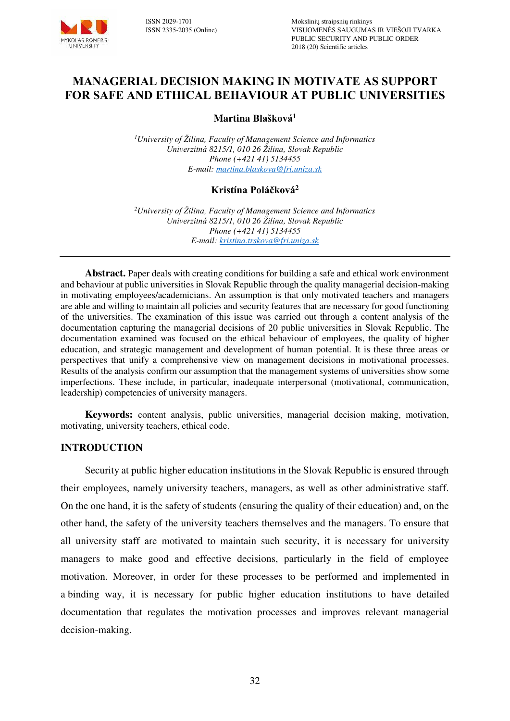

# **MANAGERIAL DECISION MAKING IN MOTIVATE AS SUPPORT FOR SAFE AND ETHICAL BEHAVIOUR AT PUBLIC UNIVERSITIES**

## **Martina Blašková<sup>1</sup>**

*<sup>1</sup>University of Žilina, Faculty of Management Science and Informatics Univerzitná 8215/1, 010 26 Žilina, Slovak Republic Phone (+421 41) 5134455 E-mail: [martina.blaskova@fri.uniza.sk](mailto:martina.blaskova@fri.uniza.sk)* 

# **Kristína Poláčková<sup>2</sup>**

*<sup>2</sup>University of Žilina, Faculty of Management Science and Informatics Univerzitná 8215/1, 010 26 Žilina, Slovak Republic Phone (+421 41) 5134455 E-mail: [kristina.trskova@fri.uniza.sk](mailto:kristina.trskova@fri.uniza.sk)*

**Abstract.** Paper deals with creating conditions for building a safe and ethical work environment and behaviour at public universities in Slovak Republic through the quality managerial decision-making in motivating employees/academicians. An assumption is that only motivated teachers and managers are able and willing to maintain all policies and security features that are necessary for good functioning of the universities. The examination of this issue was carried out through a content analysis of the documentation capturing the managerial decisions of 20 public universities in Slovak Republic. The documentation examined was focused on the ethical behaviour of employees, the quality of higher education, and strategic management and development of human potential. It is these three areas or perspectives that unify a comprehensive view on management decisions in motivational processes. Results of the analysis confirm our assumption that the management systems of universities show some imperfections. These include, in particular, inadequate interpersonal (motivational, communication, leadership) competencies of university managers.

**Keywords:** content analysis, public universities, managerial decision making, motivation, motivating, university teachers, ethical code.

#### **INTRODUCTION**

Security at public higher education institutions in the Slovak Republic is ensured through their employees, namely university teachers, managers, as well as other administrative staff. On the one hand, it is the safety of students (ensuring the quality of their education) and, on the other hand, the safety of the university teachers themselves and the managers. To ensure that all university staff are motivated to maintain such security, it is necessary for university managers to make good and effective decisions, particularly in the field of employee motivation. Moreover, in order for these processes to be performed and implemented in a binding way, it is necessary for public higher education institutions to have detailed documentation that regulates the motivation processes and improves relevant managerial decision-making.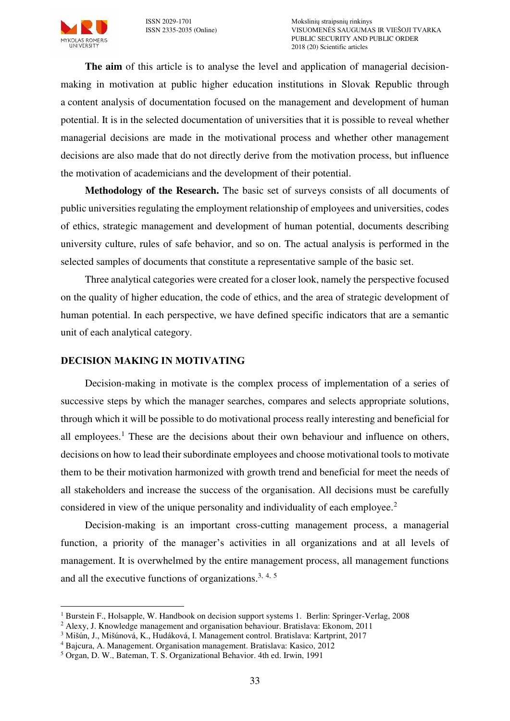$\overline{a}$ 

**The aim** of this article is to analyse the level and application of managerial decisionmaking in motivation at public higher education institutions in Slovak Republic through a content analysis of documentation focused on the management and development of human potential. It is in the selected documentation of universities that it is possible to reveal whether managerial decisions are made in the motivational process and whether other management decisions are also made that do not directly derive from the motivation process, but influence the motivation of academicians and the development of their potential.

**Methodology of the Research.** The basic set of surveys consists of all documents of public universities regulating the employment relationship of employees and universities, codes of ethics, strategic management and development of human potential, documents describing university culture, rules of safe behavior, and so on. The actual analysis is performed in the selected samples of documents that constitute a representative sample of the basic set.

Three analytical categories were created for a closer look, namely the perspective focused on the quality of higher education, the code of ethics, and the area of strategic development of human potential. In each perspective, we have defined specific indicators that are a semantic unit of each analytical category.

# **DECISION MAKING IN MOTIVATING**

Decision-making in motivate is the complex process of implementation of a series of successive steps by which the manager searches, compares and selects appropriate solutions, through which it will be possible to do motivational process really interesting and beneficial for all employees.<sup>1</sup> These are the decisions about their own behaviour and influence on others, decisions on how to lead their subordinate employees and choose motivational tools to motivate them to be their motivation harmonized with growth trend and beneficial for meet the needs of all stakeholders and increase the success of the organisation. All decisions must be carefully considered in view of the unique personality and individuality of each employee.<sup>2</sup>

Decision-making is an important cross-cutting management process, a managerial function, a priority of the manager's activities in all organizations and at all levels of management. It is overwhelmed by the entire management process, all management functions and all the executive functions of organizations.<sup>3, 4, 5</sup>

<sup>&</sup>lt;sup>1</sup> Burstein F., Holsapple, W. Handbook on decision support systems 1. Berlin: Springer-Verlag, 2008

<sup>&</sup>lt;sup>2</sup> Alexy, J. Knowledge management and organisation behaviour. Bratislava: Ekonom, 2011

<sup>3</sup> Mišún, J., Mišúnová, K., Hudáková, I. Management control. Bratislava: Kartprint, 2017

<sup>4</sup> Bajcura, A. Management. Organisation management. Bratislava: Kasico, 2012

<sup>5</sup> Organ, D. W., Bateman, T. S. Organizational Behavior. 4th ed. Irwin, 1991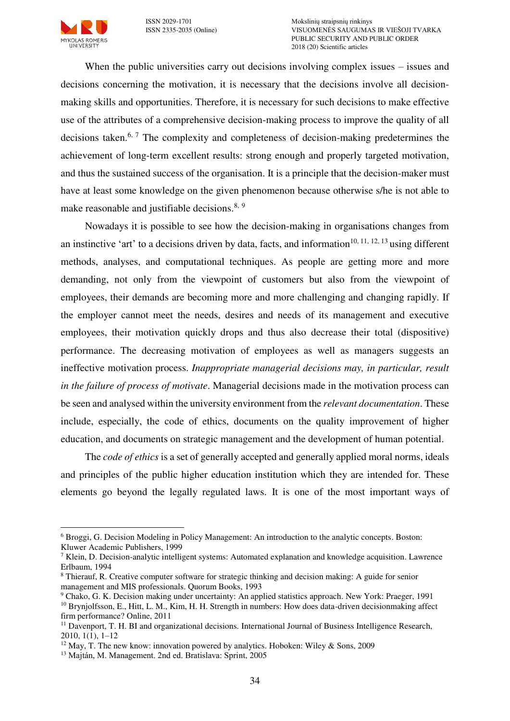

ISSN 2029-1701 Mokslinių straipsnių rinkinys VISUOMENĖS SAUGUMAS IR VIEŠOJI TVARKA PUBLIC SECURITY AND PUBLIC ORDER 2018 (20) Scientific articles

When the public universities carry out decisions involving complex issues – issues and decisions concerning the motivation, it is necessary that the decisions involve all decisionmaking skills and opportunities. Therefore, it is necessary for such decisions to make effective use of the attributes of a comprehensive decision-making process to improve the quality of all decisions taken.<sup>6, 7</sup> The complexity and completeness of decision-making predetermines the achievement of long-term excellent results: strong enough and properly targeted motivation, and thus the sustained success of the organisation. It is a principle that the decision-maker must have at least some knowledge on the given phenomenon because otherwise s/he is not able to make reasonable and justifiable decisions. $8, 9$ 

Nowadays it is possible to see how the decision-making in organisations changes from an instinctive 'art' to a decisions driven by data, facts, and information<sup>10, 11, 12, 13</sup> using different methods, analyses, and computational techniques. As people are getting more and more demanding, not only from the viewpoint of customers but also from the viewpoint of employees, their demands are becoming more and more challenging and changing rapidly. If the employer cannot meet the needs, desires and needs of its management and executive employees, their motivation quickly drops and thus also decrease their total (dispositive) performance. The decreasing motivation of employees as well as managers suggests an ineffective motivation process. *Inappropriate managerial decisions may, in particular, result in the failure of process of motivate*. Managerial decisions made in the motivation process can be seen and analysed within the university environment from the *relevant documentation*. These include, especially, the code of ethics, documents on the quality improvement of higher education, and documents on strategic management and the development of human potential.

The *code of ethics* is a set of generally accepted and generally applied moral norms, ideals and principles of the public higher education institution which they are intended for. These elements go beyond the legally regulated laws. It is one of the most important ways of

 $\overline{a}$ <sup>6</sup> Broggi, G. Decision Modeling in Policy Management: An introduction to the analytic concepts. Boston: Kluwer Academic Publishers, 1999

<sup>&</sup>lt;sup>7</sup> Klein, D. Decision-analytic intelligent systems: Automated explanation and knowledge acquisition. Lawrence Erlbaum, 1994

<sup>&</sup>lt;sup>8</sup> Thierauf, R. Creative computer software for strategic thinking and decision making: A guide for senior management and MIS professionals. Quorum Books, 1993

<sup>&</sup>lt;sup>9</sup> Chako, G. K. Decision making under uncertainty: An applied statistics approach. New York: Praeger, 1991

<sup>10</sup> Brynjolfsson, E., Hitt, L. M., Kim, H. H. Strength in numbers: How does data-driven decisionmaking affect firm performance? Online, 2011

<sup>11</sup> Davenport, T. H. BI and organizational decisions. International Journal of Business Intelligence Research,  $2010, 1(1), 1-12$ 

<sup>&</sup>lt;sup>12</sup> May, T. The new know: innovation powered by analytics. Hoboken: Wiley & Sons, 2009

<sup>&</sup>lt;sup>13</sup> Majtán, M. Management. 2nd ed. Bratislava: Sprint, 2005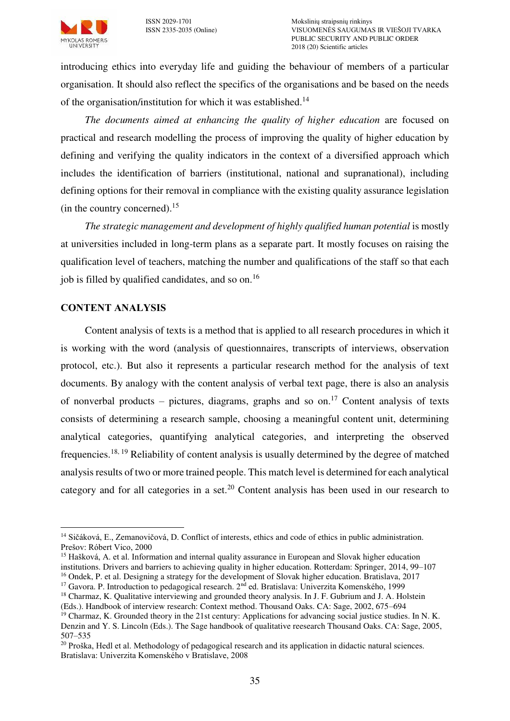

introducing ethics into everyday life and guiding the behaviour of members of a particular organisation. It should also reflect the specifics of the organisations and be based on the needs of the organisation/institution for which it was established.<sup>14</sup>

*The documents aimed at enhancing the quality of higher education* are focused on practical and research modelling the process of improving the quality of higher education by defining and verifying the quality indicators in the context of a diversified approach which includes the identification of barriers (institutional, national and supranational), including defining options for their removal in compliance with the existing quality assurance legislation (in the country concerned).<sup>15</sup>

*The strategic management and development of highly qualified human potential* is mostly at universities included in long-term plans as a separate part. It mostly focuses on raising the qualification level of teachers, matching the number and qualifications of the staff so that each job is filled by qualified candidates, and so on.<sup>16</sup>

## **CONTENT ANALYSIS**

Content analysis of texts is a method that is applied to all research procedures in which it is working with the word (analysis of questionnaires, transcripts of interviews, observation protocol, etc.). But also it represents a particular research method for the analysis of text documents. By analogy with the content analysis of verbal text page, there is also an analysis of nonverbal products – pictures, diagrams, graphs and so on.<sup>17</sup> Content analysis of texts consists of determining a research sample, choosing a meaningful content unit, determining analytical categories, quantifying analytical categories, and interpreting the observed frequencies.<sup>18, 19</sup> Reliability of content analysis is usually determined by the degree of matched analysis results of two or more trained people. This match level is determined for each analytical category and for all categories in a set.<sup>20</sup> Content analysis has been used in our research to

 $\overline{a}$ <sup>14</sup> Sičáková, E., Zemanovičová, D. Conflict of interests, ethics and code of ethics in public administration. Prešov: Róbert Vico, 2000

<sup>&</sup>lt;sup>15</sup> Hašková, A. et al. Information and internal quality assurance in European and Slovak higher education institutions. Drivers and barriers to achieving quality in higher education. Rotterdam: Springer, 2014, 99–107

<sup>&</sup>lt;sup>16</sup> Ondek, P. et al. Designing a strategy for the development of Slovak higher education. Bratislava, 2017

<sup>&</sup>lt;sup>17</sup> Gavora. P. Introduction to pedagogical research. 2<sup>nd</sup> ed. Bratislava: Univerzita Komenského, 1999 <sup>18</sup> Charmaz, K. Qualitative interviewing and grounded theory analysis. In J. F. Gubrium and J. A. Holstein

<sup>(</sup>Eds.). Handbook of interview research: Context method. Thousand Oaks. CA: Sage, 2002, 675–694

<sup>&</sup>lt;sup>19</sup> Charmaz, K. Grounded theory in the 21st century: Applications for advancing social justice studies. In N. K. Denzin and Y. S. Lincoln (Eds.). The Sage handbook of qualitative reesearch Thousand Oaks. CA: Sage, 2005, 507–535

<sup>&</sup>lt;sup>20</sup> Proška, Hedl et al. Methodology of pedagogical research and its application in didactic natural sciences. Bratislava: Univerzita Komenského v Bratislave, 2008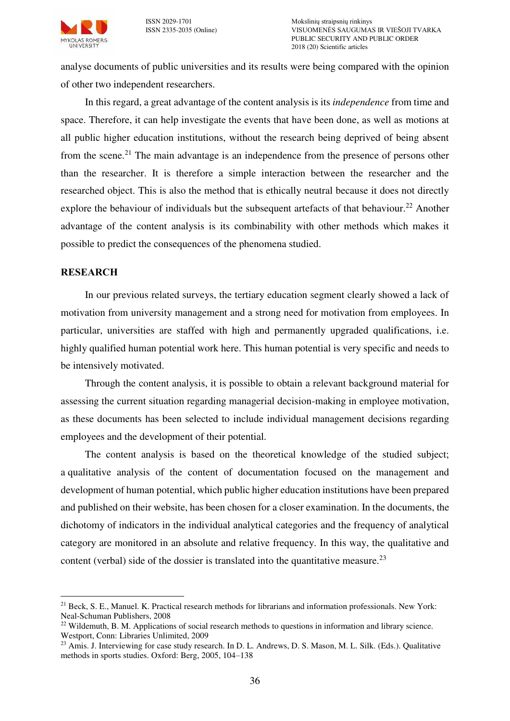

analyse documents of public universities and its results were being compared with the opinion of other two independent researchers.

In this regard, a great advantage of the content analysis is its *independence* from time and space. Therefore, it can help investigate the events that have been done, as well as motions at all public higher education institutions, without the research being deprived of being absent from the scene.<sup>21</sup> The main advantage is an independence from the presence of persons other than the researcher. It is therefore a simple interaction between the researcher and the researched object. This is also the method that is ethically neutral because it does not directly explore the behaviour of individuals but the subsequent artefacts of that behaviour.<sup>22</sup> Another advantage of the content analysis is its combinability with other methods which makes it possible to predict the consequences of the phenomena studied.

#### **RESEARCH**

 $\overline{a}$ 

In our previous related surveys, the tertiary education segment clearly showed a lack of motivation from university management and a strong need for motivation from employees. In particular, universities are staffed with high and permanently upgraded qualifications, i.e. highly qualified human potential work here. This human potential is very specific and needs to be intensively motivated.

Through the content analysis, it is possible to obtain a relevant background material for assessing the current situation regarding managerial decision-making in employee motivation, as these documents has been selected to include individual management decisions regarding employees and the development of their potential.

The content analysis is based on the theoretical knowledge of the studied subject; a qualitative analysis of the content of documentation focused on the management and development of human potential, which public higher education institutions have been prepared and published on their website, has been chosen for a closer examination. In the documents, the dichotomy of indicators in the individual analytical categories and the frequency of analytical category are monitored in an absolute and relative frequency. In this way, the qualitative and content (verbal) side of the dossier is translated into the quantitative measure.<sup>23</sup>

<sup>21</sup> Beck, S. E., Manuel. K. Practical research methods for librarians and information professionals. New York: Neal-Schuman Publishers, 2008

<sup>&</sup>lt;sup>22</sup> Wildemuth, B. M. Applications of social research methods to questions in information and library science. Westport, Conn: Libraries Unlimited, 2009

<sup>&</sup>lt;sup>23</sup> Amis. J. Interviewing for case study research. In D. L. Andrews, D. S. Mason, M. L. Silk. (Eds.). Qualitative methods in sports studies. Oxford: Berg, 2005, 104–138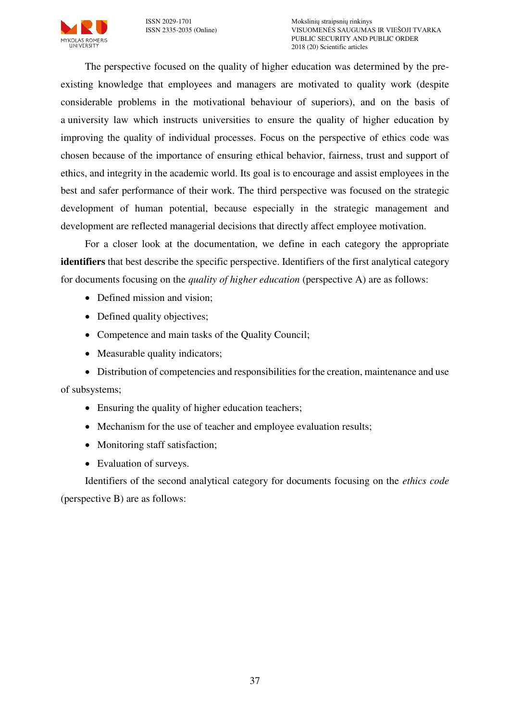The perspective focused on the quality of higher education was determined by the preexisting knowledge that employees and managers are motivated to quality work (despite considerable problems in the motivational behaviour of superiors), and on the basis of a university law which instructs universities to ensure the quality of higher education by improving the quality of individual processes. Focus on the perspective of ethics code was chosen because of the importance of ensuring ethical behavior, fairness, trust and support of ethics, and integrity in the academic world. Its goal is to encourage and assist employees in the best and safer performance of their work. The third perspective was focused on the strategic development of human potential, because especially in the strategic management and development are reflected managerial decisions that directly affect employee motivation.

For a closer look at the documentation, we define in each category the appropriate **identifiers** that best describe the specific perspective. Identifiers of the first analytical category for documents focusing on the *quality of higher education* (perspective A) are as follows:

- Defined mission and vision:
- Defined quality objectives;
- Competence and main tasks of the Quality Council;
- Measurable quality indicators;
- Distribution of competencies and responsibilities for the creation, maintenance and use

of subsystems;

- Ensuring the quality of higher education teachers;
- Mechanism for the use of teacher and employee evaluation results;
- Monitoring staff satisfaction;
- Evaluation of surveys.

Identifiers of the second analytical category for documents focusing on the *ethics code* (perspective B) are as follows: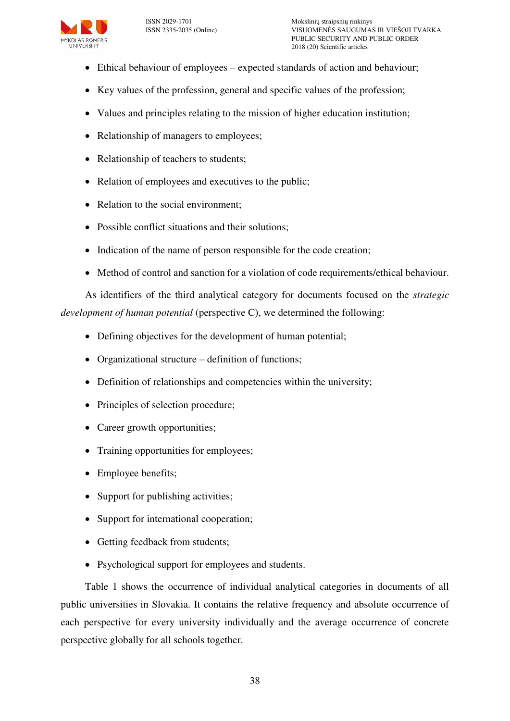

- Ethical behaviour of employees expected standards of action and behaviour;
- Key values of the profession, general and specific values of the profession;
- Values and principles relating to the mission of higher education institution;
- Relationship of managers to employees;
- Relationship of teachers to students;
- Relation of employees and executives to the public;
- Relation to the social environment:
- Possible conflict situations and their solutions;
- Indication of the name of person responsible for the code creation;
- Method of control and sanction for a violation of code requirements/ethical behaviour.

As identifiers of the third analytical category for documents focused on the *strategic development of human potential* (perspective C), we determined the following:

- Defining objectives for the development of human potential;
- Organizational structure definition of functions;
- Definition of relationships and competencies within the university;
- Principles of selection procedure;
- Career growth opportunities;
- Training opportunities for employees;
- Employee benefits;
- Support for publishing activities;
- Support for international cooperation;
- Getting feedback from students;
- Psychological support for employees and students.

Table 1 shows the occurrence of individual analytical categories in documents of all public universities in Slovakia. It contains the relative frequency and absolute occurrence of each perspective for every university individually and the average occurrence of concrete perspective globally for all schools together.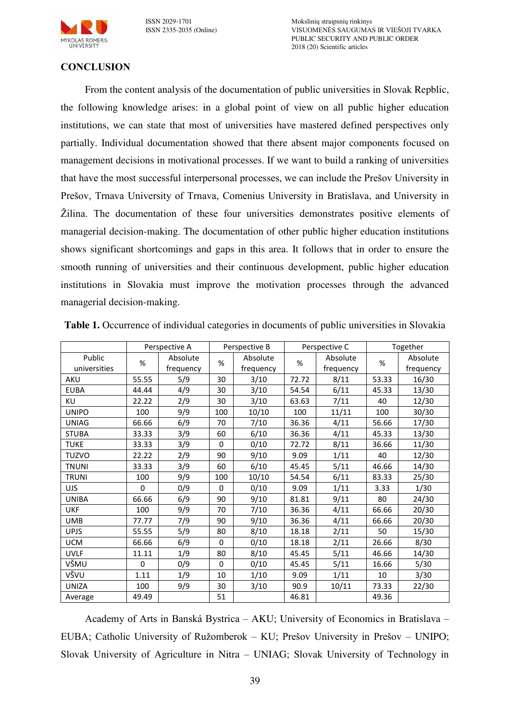

ISSN 2029-1701 Mokslinių straipsnių rinkinys VISUOMENĖS SAUGUMAS IR VIEŠOJI TVARKA PUBLIC SECURITY AND PUBLIC ORDER 2018 (20) Scientific articles

## **CONCLUSION**

From the content analysis of the documentation of public universities in Slovak Repblic, the following knowledge arises: in a global point of view on all public higher education institutions, we can state that most of universities have mastered defined perspectives only partially. Individual documentation showed that there absent major components focused on management decisions in motivational processes. If we want to build a ranking of universities that have the most successful interpersonal processes, we can include the Prešov University in Prešov, Trnava University of Trnava, Comenius University in Bratislava, and University in Žilina. The documentation of these four universities demonstrates positive elements of managerial decision-making. The documentation of other public higher education institutions shows significant shortcomings and gaps in this area. It follows that in order to ensure the smooth running of universities and their continuous development, public higher education institutions in Slovakia must improve the motivation processes through the advanced managerial decision-making.

|              | Perspective A |           | Perspective B |           | Perspective C |           | Together |           |
|--------------|---------------|-----------|---------------|-----------|---------------|-----------|----------|-----------|
| Public       | %             | Absolute  | %             | Absolute  | %             | Absolute  | %        | Absolute  |
| universities |               | frequency |               | frequency |               | frequency |          | frequency |
| AKU          | 55.55         | 5/9       | 30            | 3/10      | 72.72         | 8/11      | 53.33    | 16/30     |
| <b>EUBA</b>  | 44.44         | 4/9       | 30            | 3/10      | 54.54         | 6/11      | 45.33    | 13/30     |
| KU           | 22.22         | 2/9       | 30            | 3/10      | 63.63         | 7/11      | 40       | 12/30     |
| <b>UNIPO</b> | 100           | 9/9       | 100           | 10/10     | 100           | 11/11     | 100      | 30/30     |
| <b>UNIAG</b> | 66.66         | 6/9       | 70            | 7/10      | 36.36         | 4/11      | 56.66    | 17/30     |
| <b>STUBA</b> | 33.33         | 3/9       | 60            | 6/10      | 36.36         | 4/11      | 45.33    | 13/30     |
| <b>TUKE</b>  | 33.33         | 3/9       | $\Omega$      | 0/10      | 72.72         | 8/11      | 36.66    | 11/30     |
| <b>TUZVO</b> | 22.22         | 2/9       | 90            | 9/10      | 9.09          | 1/11      | 40       | 12/30     |
| <b>TNUNI</b> | 33.33         | 3/9       | 60            | 6/10      | 45.45         | 5/11      | 46.66    | 14/30     |
| <b>TRUNI</b> | 100           | 9/9       | 100           | 10/10     | 54.54         | 6/11      | 83.33    | 25/30     |
| <b>UJS</b>   | $\mathbf 0$   | 0/9       | 0             | 0/10      | 9.09          | 1/11      | 3.33     | 1/30      |
| <b>UNIBA</b> | 66.66         | 6/9       | 90            | 9/10      | 81.81         | 9/11      | 80       | 24/30     |
| <b>UKF</b>   | 100           | 9/9       | 70            | 7/10      | 36.36         | 4/11      | 66.66    | 20/30     |
| <b>UMB</b>   | 77.77         | 7/9       | 90            | 9/10      | 36.36         | 4/11      | 66.66    | 20/30     |
| <b>UPJS</b>  | 55.55         | 5/9       | 80            | 8/10      | 18.18         | 2/11      | 50       | 15/30     |
| <b>UCM</b>   | 66.66         | 6/9       | $\Omega$      | 0/10      | 18.18         | 2/11      | 26.66    | 8/30      |
| <b>UVLF</b>  | 11.11         | 1/9       | 80            | 8/10      | 45.45         | 5/11      | 46.66    | 14/30     |
| VŠMU         | $\Omega$      | 0/9       | $\Omega$      | 0/10      | 45.45         | 5/11      | 16.66    | 5/30      |
| VŠVU         | 1.11          | 1/9       | 10            | 1/10      | 9.09          | 1/11      | 10       | 3/30      |
| <b>UNIZA</b> | 100           | 9/9       | 30            | 3/10      | 90.9          | 10/11     | 73.33    | 22/30     |
| Average      | 49.49         |           | 51            |           | 46.81         |           | 49.36    |           |

**Table 1.** Occurrence of individual categories in documents of public universities in Slovakia

Academy of Arts in Banská Bystrica – AKU; University of Economics in Bratislava – EUBA; Catholic University of Ružomberok – KU; Prešov University in Prešov – UNIPO; Slovak University of Agriculture in Nitra – UNIAG; Slovak University of Technology in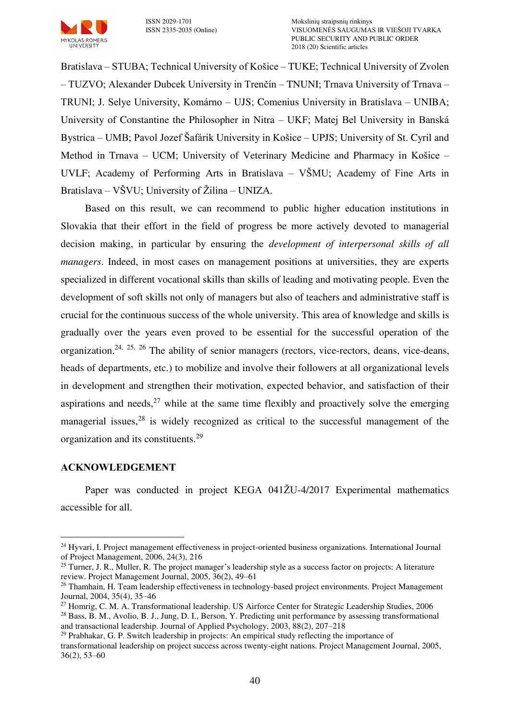

Bratislava – STUBA; Technical University of Košice – TUKE; Technical University of Zvolen – TUZVO; Alexander Dubcek University in Trenčín – TNUNI; Trnava University of Trnava – TRUNI; J. Selye University, Komárno – UJS; Comenius University in Bratislava – UNIBA; University of Constantine the Philosopher in Nitra – UKF; Matej Bel University in Banská Bystrica – UMB; Pavol Jozef Šafárik University in Košice – UPJS; University of St. Cyril and Method in Trnava – UCM; University of Veterinary Medicine and Pharmacy in Košice – UVLF; Academy of Performing Arts in Bratislava – VŠMU; Academy of Fine Arts in Bratislava – VŠVU; University of Žilina – UNIZA.

Based on this result, we can recommend to public higher education institutions in Slovakia that their effort in the field of progress be more actively devoted to managerial decision making, in particular by ensuring the *development of interpersonal skills of all managers*. Indeed, in most cases on management positions at universities, they are experts specialized in different vocational skills than skills of leading and motivating people. Even the development of soft skills not only of managers but also of teachers and administrative staff is crucial for the continuous success of the whole university. This area of knowledge and skills is gradually over the years even proved to be essential for the successful operation of the organization.<sup>24, 25, 26</sup> The ability of senior managers (rectors, vice-rectors, deans, vice-deans, heads of departments, etc.) to mobilize and involve their followers at all organizational levels in development and strengthen their motivation, expected behavior, and satisfaction of their aspirations and needs,  $27$  while at the same time flexibly and proactively solve the emerging managerial issues, $28$  is widely recognized as critical to the successful management of the organization and its constituents.<sup>29</sup>

#### **ACKNOWLEDGEMENT**

 $\overline{a}$ 

Paper was conducted in project KEGA 041ŽU-4/2017 Experimental mathematics accessible for all.

<sup>29</sup> Prabhakar, G. P. Switch leadership in projects: An empirical study reflecting the importance of transformational leadership on project success across twenty-eight nations. Project Management Journal, 2005, 36(2), 53–60

<sup>&</sup>lt;sup>24</sup> Hyvari, I. Project management effectiveness in project-oriented business organizations. International Journal of Project Management, 2006, 24(3), 216

 $25$  Turner, J. R., Muller, R. The project manager's leadership style as a success factor on projects: A literature review. Project Management Journal, 2005, 36(2), 49–61

<sup>&</sup>lt;sup>26</sup> Thamhain, H. Team leadership effectiveness in technology-based project environments. Project Management Journal, 2004, 35(4), 35–46

<sup>27</sup> Homrig, C. M. A. Transformational leadership. US Airforce Center for Strategic Leadership Studies, 2006 <sup>28</sup> Bass, B. M., Avolio, B. J., Jung, D. I., Berson, Y. Predicting unit performance by assessing transformational and transactional leadership. Journal of Applied Psychology, 2003, 88(2), 207–218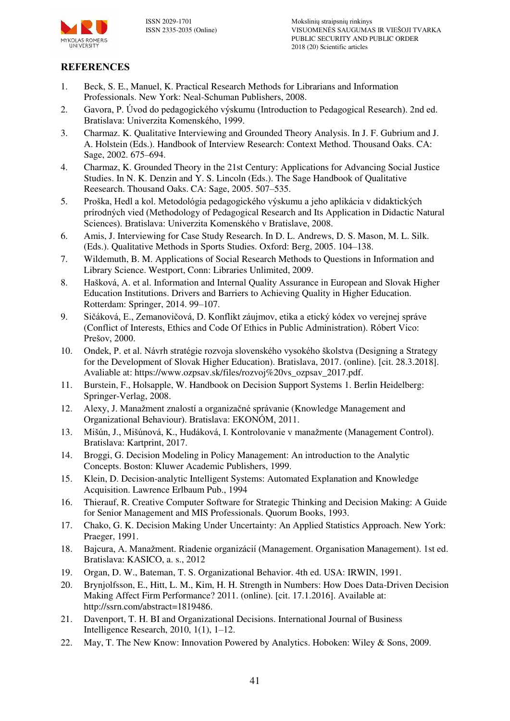

# **REFERENCES**

- 1. Beck, S. E., Manuel, K. Practical Research Methods for Librarians and Information Professionals. New York: Neal-Schuman Publishers, 2008.
- 2. Gavora, P. Úvod do pedagogického výskumu (Introduction to Pedagogical Research). 2nd ed. Bratislava: Univerzita Komenského, 1999.
- 3. Charmaz. K. Qualitative Interviewing and Grounded Theory Analysis. In J. F. Gubrium and J. A. Holstein (Eds.). Handbook of Interview Research: Context Method. Thousand Oaks. CA: Sage, 2002. 675–694.
- 4. Charmaz, K. Grounded Theory in the 21st Century: Applications for Advancing Social Justice Studies. In N. K. Denzin and Y. S. Lincoln (Eds.). The Sage Handbook of Qualitative Reesearch. Thousand Oaks. CA: Sage, 2005. 507–535.
- 5. Proška, Hedl a kol. Metodológia pedagogického výskumu a jeho aplikácia v didaktických prírodných vied (Methodology of Pedagogical Research and Its Application in Didactic Natural Sciences). Bratislava: Univerzita Komenského v Bratislave, 2008.
- 6. Amis, J. Interviewing for Case Study Research. In D. L. Andrews, D. S. Mason, M. L. Silk. (Eds.). Qualitative Methods in Sports Studies. Oxford: Berg, 2005. 104–138.
- 7. Wildemuth, B. M. Applications of Social Research Methods to Questions in Information and Library Science. Westport, Conn: Libraries Unlimited, 2009.
- 8. Hašková, A. et al. Information and Internal Quality Assurance in European and Slovak Higher Education Institutions. Drivers and Barriers to Achieving Quality in Higher Education. Rotterdam: Springer, 2014. 99–107.
- 9. Sičáková, E., Zemanovičová, D. Konflikt záujmov, etika a etický kódex vo verejnej správe (Conflict of Interests, Ethics and Code Of Ethics in Public Administration). Róbert Vico: Prešov, 2000.
- 10. Ondek, P. et al. Návrh stratégie rozvoja slovenského vysokého školstva (Designing a Strategy for the Development of Slovak Higher Education). Bratislava, 2017. (online). [cit. 28.3.2018]. Avaliable at: https://www.ozpsay.sk/files/rozvoj%20vs\_ozpsav\_2017.pdf.
- 11. Burstein, F., Holsapple, W. Handbook on Decision Support Systems 1. Berlin Heidelberg: Springer-Verlag, 2008.
- 12. Alexy, J. Manažment znalostí a organizačné správanie (Knowledge Management and Organizational Behaviour). Bratislava: EKONÓM, 2011.
- 13. Mišún, J., Mišúnová, K., Hudáková, I. Kontrolovanie v manažmente (Management Control). Bratislava: Kartprint, 2017.
- 14. Broggi, G. Decision Modeling in Policy Management: An introduction to the Analytic Concepts. Boston: Kluwer Academic Publishers, 1999.
- 15. Klein, D. Decision-analytic Intelligent Systems: Automated Explanation and Knowledge Acquisition. Lawrence Erlbaum Pub., 1994
- 16. Thierauf, R. Creative Computer Software for Strategic Thinking and Decision Making: A Guide for Senior Management and MIS Professionals. Quorum Books, 1993.
- 17. Chako, G. K. Decision Making Under Uncertainty: An Applied Statistics Approach. New York: Praeger, 1991.
- 18. Bajcura, A. Manažment. Riadenie organizácií (Management. Organisation Management). 1st ed. Bratislava: KASICO, a. s., 2012
- 19. Organ, D. W., Bateman, T. S. Organizational Behavior. 4th ed. USA: IRWIN, 1991.
- 20. Brynjolfsson, E., Hitt, L. M., Kim, H. H. Strength in Numbers: How Does Data-Driven Decision Making Affect Firm Performance? 2011. (online). [cit. 17.1.2016]. Available at: http://ssrn.com/abstract=1819486.
- 21. Davenport, T. H. BI and Organizational Decisions. International Journal of Business Intelligence Research, 2010, 1(1), 1–12.
- 22. May, T. The New Know: Innovation Powered by Analytics. Hoboken: Wiley & Sons, 2009.